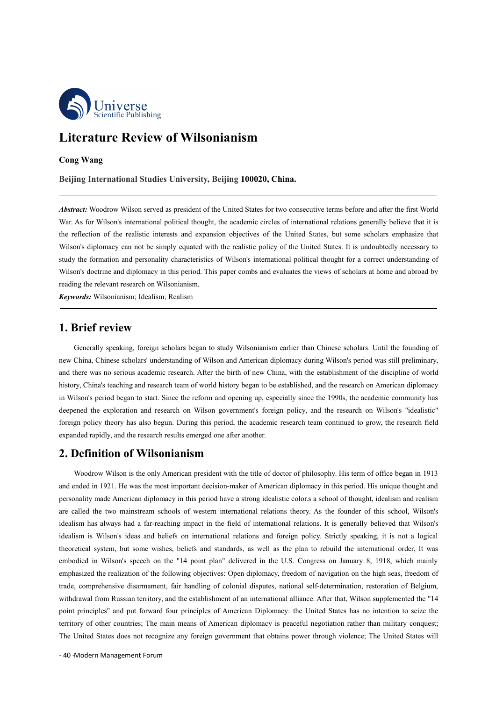

**Beinhifte Publishing**<br> **Beijing International Studies University, Beijing 100020, China.**<br> **Beijing International Studies University, Beijing 100020, China.**<br> **Beijing International Studies University, Beijing 100020, Chi** *Abstract:* Woodrow Wilson served as president of the United States for two consecutive terms before and after the first World *Abstract:* Woodrow Wilson served as president of the United States for two consecutive terms b We Scientific Publishing<br>
Cong Wang<br>
Beijing International Studies University, Beijing 100020, China.<br>
Abstract: Woodrow Wilson served as president of the United States for two consecutive terms before and after the first **Literature Review of Wilsonianism**<br>
Cong Wang<br>
Beijing International Studies University, Beijing 100020, China.<br>
Abstract: Woodrow Wilson served as president of the United States for two consecutive terms before and after **Literature Review of Wilsonianism**<br> **Everytheye Eventual Studies University, Beijing 100020, China.**<br> **Abstract:** Woodrow Wilson served as president of the United States for two consecutive terms before and after the firs **Cong Wang**<br> **Beijing International Studies University, Beijing 100020, China.**<br> **Abstract:** Woodrow Wilson served as president of the United States for two consecutive terms before and after the first World<br>
War. As for W **Example 18 International Studies University, Beijing 100020, China.**<br> **Abstract:** Woodrow Wilson served as president of the United States for two consecutive terms before and after the first World War. As for Wilson's int Beijing International Studies University, Beijing 100020, *Abstract:* Woodrow Wilson served as president of the United States for War. As for Wilson's international political thought, the academic circite reflection of the *Abstract:* Woodrow Wilson served as president of the United States for two cons War. As for Wilson's international political thought, the academic circles of intertion of the realistic interests and expansion objectives o **Cong Wang**<br> **Beijing International Studies University, Beijing 100020, China**<br> **1. Abstract:** Woodrow Wilson served as president of the United States for two contar. As for Wilson's international political thought, the ac Encel To the Cassister and the simply equalism orginaris of the United States. It is undoubtedly necessary to the formation and personality characteristics of Wilson's international political thought for a correct understa

new China, Chinese scholars' understanding of Wilson's international political thought for a correct understanding of<br>Wilson's doctrine and diplomacy in this period. This paper combs and evaluates the views of scholars at and there was no serious academic research. After the birth of new China, such a serious action and abroad by<br>
Wilson's doctrine and diplomacy in this period. This paper combs and evaluates the views of scholars at home an Frason sociality the elevation and research on Wilsonianism.<br> **1. Brief review**<br> **4. Expression**: Wilsonianism, Idealism; Realism<br> **1. Brief review**<br> **4.** Constant research team of world history began to study wilsonianism **Example and the reformation**. The reformation of the action of the computation of the reformation of the reformation of the reformation of the reformation of the reformation of the reformation of the reformation of the re **1. Brief review**<br> **4. Brief review**<br>
Generally speaking, foreign scholars began to study Wilsonianism earlier than Chinese scholars. Until the founding of<br>
new China, Chinese scholars' understanding of Wilson and American **1. Brief review**<br>Generally speaking, foreign scholars began to study Wilsonianism earlier than Chinese scholars. Until the founding of<br>new China, Chinese scholars' understanding of Wilson and American diplomacy during Wil **1. Brief review**<br>
Generally speaking, foreign scholars began to study Wilsonianism earlier than Chinese scho<br>
new China, Chinese scholars' understanding of Wilson and American diplomacy during Wilson's p<br>
and there was no reading the relevant research on Wilsonianism.<br> **2. Brief review**<br> **2. Brief review**<br> **2. Brief review**<br> **2. Brief review**<br> **2. Brief review**<br> **2.** Chinese scholars' understanding of Wilson and American diplomacy during Wi Extrame, trames senotias and statistical and functional upposed with the original present with the establishment of the discipline of world history, China's teaching and research team of world history began to be establish and ended in 1921. He was the most important decision-maker of American diplomacy in Wilson's period began to start Since the reform and opening up, especially since the 1990s, the academic community has deepened the explo

theoretical system, but some wishes, beliefs and standards, as well a<br>embodied in Wilson's speech on the "14 point plan" delivered in the<br>emphasized the realization of the following objectives: Open diplomacy<br>trade, compre made Straing that colores are the more than the form and pening up, especially since the 1990s, the academic community has deepened the exploration and research on Wilson government's foreign policy, and the research on Wi are called the exploration and research using the two mainstream schools deepend the exploration and research on Wilson government's foreign policy, and the research on Wilson's "idealistic"<br>foreign policy theory has also idealism has always had a far-reaching impact in the field of international relations. It is general solution to the metal research in the research field expanded rapidly, and the research results emerged one after another ioney international relations in the method of **Wilsonianism**<br> **2. Definition of Wilsonianism**<br>
Woodrow Wilson is the only American president with the title of doctor of philosophy. His term of office began in 1913<br>
and en **2. Definition of Wilsonianism**<br>Woodrow Wilson is the only American president with the title of doctor of philosophy. His term of office began in 1913<br>and ended in 1921. He was the most important decision-maker of American **2. Definition of Wilsonianism**<br>Woodrow Wilson is the only American president with the title of doctor of philosophy. His term of office began in 1913<br>and ended in 1921. He was the most important decision-maker of American Woodrow Wilson is the only American president with the title of doctor of philosophy. His term of office began in 1913<br>and ended in 1921. He was the most important decision-maker of American diplomacy in this period. His u woodnow wisson is the only Americaan president while the the of doctor of philosophy. Fits term of once began in 1913<br>and ended in 1921. He was the most important decision-maker of American diplomacy in this period. His un and ended in 1921. He was the most important decision-linater of American uppointay in this period. Fits unique mought and<br>personality made American diplomary in this period have a strong idealistic colors a sechol of thou personany mate American appoinacy in this period nave a strong dealistic colors a schoof of udogit, dealism and relation<br>are called the two mainstream schools of western international relations theory. As the founder of th are carred the two manistream schools of western international relations ureory. As the founter of this school, whison's idealism has always had a far-reaching impact in the field of international relations. It is generall ndealism has always had a fal-leaching impact in the field of international relations. It is generally beneved that whison's idealism is Wilson's ideas and beliefs on international relations and foreign policy. Strictly sp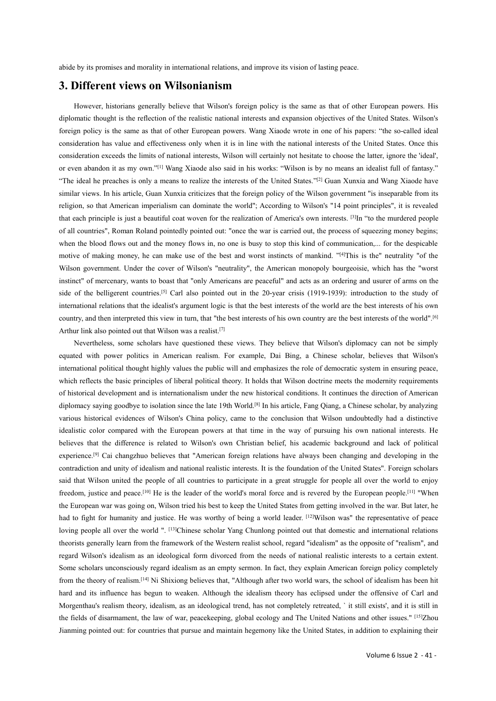Abide by its promises and morality in international relations, and improve its vision of lasting peace.<br> **3. Different views on Wilsonianism** 

abide by its promises and morality in international relations, and improve its vision of lasting peace.<br> **3. Different views on Wilsonianism**<br>
However, historians generally believe that Wilson's foreign policy is the same However, historians generally believe that Wilson's and improve its vision of lasting peace.<br> **Different views on Wilsonianism**<br>
However, historians generally believe that Wilson's foreign policy is the same as that of oth diplomatic thought is the reflection of the reflections, and improve its vision of lasting peace.<br> **3. Different views on Wilsonianism**<br>
However, historians generally believe that Wilson's foreign policy is the same as tha **3.Different views on Wilsonianism**<br>**3. Different views on Wilsonianism**<br>However, historians generally believe that Wilson's foreign policy is the same as that of other European powers. His<br>diplomatic thought is the refl **3.Different views on Wilsonianism**<br>**3. Different views on Wilsonianism**<br>However, historians generally believe that Wilson's foreign policy is the same as that of other European powers. His<br>diplomatic thought is the refle abide by its promises and morality in international relations, and improve its vision of lasting peace.<br> **3. Different views on Wilsonianism**<br>
However, historians generally believe that Wilson's foreign policy is the same abide by its promises and morality in international relations, and improve its vision of lasting peace.<br> **3. Different views on Wilsonianism**<br>
However, historians generally believe that Wilson's foreign policy is the same **3.Different views on Wilsonianism**<br> **3. Different views on Wilsonianism**<br>
However, historians generally believe that Wilson's foreign policy is the same as that of other European powers. His<br>
diplomatic thought is the r **3. Different views on Wilsonianism**<br>
However, historians generally believe that Wilson's foreign policy is the same as that of other European powers. His<br>
diplomatic thought is the reflection of the realistic national in However, historians generally believe that Wilson's foreign policy is the same as that of other European powers. His<br>diplomatic thought is the reflection of the relatistic rational interests and expansion objectives of the Thowever,instorians generatry oeneve unat whiston's totengt pointy is the same as that of outer European powers. This diplomation to the realization of the realization of the realization of the realization has value and e of all countries", Roman Roland pointedly pointed out: "once the war is carried out, the process of squeezing policy is the same as that of other European powers. Wilson is a particle discussion interests of the United Sta olety policy is the same as that of outer European powers. Wang Alaote whote in one of ins papers. The so-canced idear<br>consideration has value and effectiveness only when it is in line with the national interests of the Un considerationhas value and enectiveness omy when it is in line with the hadolar imetests of the Omicia states. Once this consideration exceeds the limits of national interests, Wilson will errainly not besite to choose th consideration exceeds the imms of hatomat interests, whison will estrainly not hesitate to choose the tattet, governe the core, were about any of the vert about any of the collider of Son is "now means in detailst full of Ineven abandon it as iny own. <sup>15</sup> wang Araode also sad in ins works. Whison is by no means an ideal in the interests of the United States.<sup>2761</sup> Guan Xunxia and Wang Xiaote are "The ideal he preceds is only a means to re Thetieral re preaches is omy a means to reanze the interests of the United States. <sup>23</sup> Otan Aunxia and wang Xiaote have freligent counts similar verse, In his raticle, Guan Xunxia criticis, that is released from its simi simiar views. In ins artice, ouan Xunxia criticizes that the torder of ", According to Wilson's "14 point principles", it is revealed<br>that each principle is just a beautiful cast woven for the realization of America's own iengton, so that American imperialism can dominate the world", Accountg to whison's 14 point pinterpres", it is revealed<br>that each principle is just a beautiful coat woven for the realization of America's own interests. <sup>[</sup> that each pintopie is just a beautiful coat woven for the realization of America's ow<br>of all countries", Roman Roland pointedly pointed out: "once the war is carried out,<br>when the blood flows out and the money flows in, no From the blood flows out and the money floomer of the best interests of mankind of communication,... for the edspirals the blood flows out and the money flows in , no one is busy to stop this kind of communication,... for when the blood hows out and the money hows in, no one is busy to stop this kind of communication,... for the deparable with has the montrice of making money, he can make use of the beltigered with political is the "entertr induceof making money, ne can make use of une oss and worst instincts of manking. <sup>157</sup>flils is the neutranty of the correct of Wison's "neutrality", the American monopoly bourgeoisie, which has the "worst Wislom governm

posite of featurem.<br>
reign policy completely<br>
of idealism has been hit<br>
e offensive of Carl and<br>
exists', and it is still in<br>
d other issues." [<sup>15]</sup>Zhou<br>
ition to explaining their<br>
Volume 6 Issue 2 - 41 whish reflects the basic principles of liberal political theory. It holds that Wilson's the whistener of american information and political theorem are peaceful" and esta sa an ordering and usure of arms on the interests o Instinct of inercentary, wants to boast tiatt only Americans are peacerun and acts as an ottening and ustue of aniss on the significant contrinse,<sup>[5]</sup> Carl also pointed out in the 20-year crisis (1919-1939): introduction State of the beneficial reductions.<sup>257</sup> Carl also pointed out in the 20-year cliss (1919-1959). Intotuation to the statty of international relations that the idealist is argument logic is that the best interests of the wo mentauonalrelations unat the toeraists signment togic is unat the best interests of the world are the ost interests of this own<br>country, and then interpreted this view in turn, that "he best interests of the world".<sup>[6]</sup><br> county, and uen interpreted uns view in turn, that the ossimentests of ins own country are the best interests of the Wirth Thin karo compared out that Wilson's are attent thin also pointed out that Wilson's are interested Atthut link also pointed out that whison was a relats.<sup>19</sup><br>Nevertheless, some selolidar have questioned these views. They believe that Wilson's diplomacy can not be simply<br>equated with power politics in American realism. F revertincess,some scholars have quesionied these views. They believe that whison's uppoinacy can not be simply<br>equated with power politics in American realism. For example, Dai Bing, a Chinese scholar, believes that Wilso equated with power pointes in American realism. For example, Dat bing, a Chimese scholar, betwees that whisons<br>international political though highly values the public will and emphasizes the role of democratic system in es mentational pointed thought mginy values ue public will allo the stroken to be of denoted at eyselem in ensuring peace,<br>which reflects the basic principles of liberal political theory. It holds that Wilson doctrine meets t which renetes the basic pimelples of noetal political metory. It houss that wirston doctrine meets the modernity requirements of historical development and is intermationalism under the new historical devidences. It contin or misionical development and is internationalism under the new instolled conduois. It continues the direction of American<br>diphonays avarious historical evideoms ince the late 19th World<sup>181</sup> In his article, Fang Qinag, a uplomacy saying goodoye to isolation since the late 19th world.<sup>55</sup> in its attice, rang Qaing, a clinices sciolat, by analyzing<br>various historical evidences of Wilson's China policy, came to the conclusion that Wilson undo various instorted evuertees of wirson's China poincy, came to the conclusion that wirson undoubtedly had a usunctive<br>didelatio color compared with the European powers at that time in the way of pursuing his own national in ndeaistic color compared with the European powers at that this the his academic background and lack of political<br>believes that the difference is related to Wilson's own Christian belief, his academic background and lack of beneves that the difference is felated to wisoms own Christian benef, ins academic background and tack of political<br>experience.<sup>[9]</sup> Cai changzhou believes that "American foreign relations have always been changing and dev Experience.<sup>153</sup> Car changzino beneves that American foreign relations have always been changing and developing in the constradention and unitry of idealism and national realistic interests. It is the foundation of the Uni connatue of and unity of nealism. and national realistic imterests. It is une foundation of the connect states. Trotegal school of freedom, justice and peace  $[10]$  He is the leader of the world's moral force and is rever sau that whsom unteut the people of an countries to participate in a great stuggle to people an over the world to empo<br>the European war was going on, Wilson tried his best to keep the United States from getting involved in meedon, justice and peace.<sup>5</sup> The is the leader of the worlds shoot thee has is fevered by the European peope.<sup>5</sup> T when the European avary was going on, Wilson was "the spin to help the United States from getting involved the European war was going on, wison thet ins oest to keep the United States Hom getting involved in the war. But after, he<br>had to fight for humanity and justice. He was worthy of being a world leader. <sup>[13]</sup>Wishon was<sup>ter</sup> The Water of carl and the word with the word of the Water in the United out that domestic and international relations<br>theorists generally learn from the framework of the Western realist school, regard "idealism" as the opp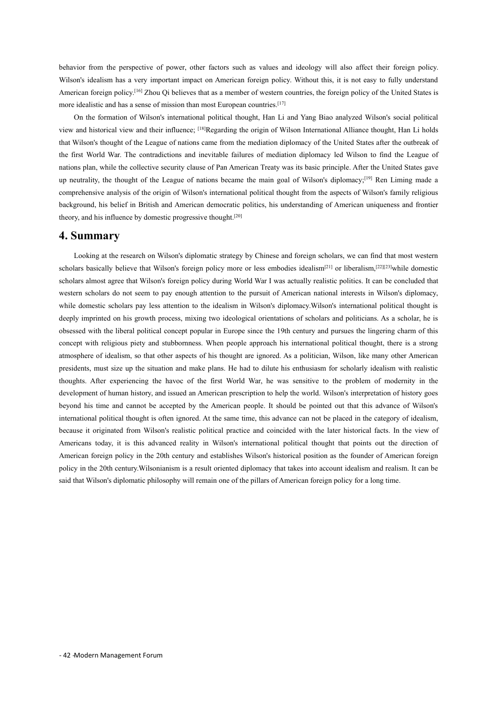behavior from the perspective of power, other factors such as values and ideology will also affect their foreign policy.<br>Wilson's idealism has a very important impact on American foreign policy. Without this, it is not eas behavior from the perspective of power, other factors such as values and ideology will also affect their foreign policy.<br>Wilson's idealism has a very important impact on American foreign policy. Without this, it is not eas behavior from the perspective of power, other factors such as values and ideology will also affect their foreign policy.<br>Wilson's idealism has a very important impact on American foreign policy. Without this, it is not eas behavior from the perspective of power, other factors such as values and ideology will also aff<br>Wilson's idealism has a very important impact on American foreign policy. Without this, it is not American foreign policy.<sup>[1</sup> vior from the perspective of power, other factors such as values and ideology will also affect their foreign policy.<br>
On's idealism has a very important impact on American foreign policy. Without this, it is not easy to fu

behavior from the perspective of power, other factors such as values and ideology will also affect their foreign policy.<br>Wilson's idealism has a very important impact on American foreign policy. Without this, it is not eas behavior from the perspective of power, other factors such as values and ideology will also affect their foreign policy.<br>Wilson's idealism has a very important impact on American foreign policy. Without this, it is not eas behavior from the perspective of power, other factors such as values and ideology will also affect their foreign policy.<br>Wilson's idealism has a very important impact on American foreign policy. Without this, it is not eas behavior from the perspective of power, other factors such as values and ideology will also affect their foreign policy.<br>Wilson's idealism has a very important impact on American foreign policy. Without this, it is not eas benavior noni ulte perspective of power, ouer actors such as vatues and uccology win also ancet then lotely policy.<br>Without Sidedism has a very important impact on American foreign ploicy, Without this, it is not easy to f wisons ucaaisin has a very important impact on American lotelyi policy. Windott this, it is tot easy to fury understante increases American foreign policy of the United States is a more idealistic and has a sense of missi Examerican lotengia policy.<sup>2, 57</sup> 2100 Q) believes utat as a member of western countries, the foreign policy of the United states is more idealistic and has a sense of mission than most European countries. The theoretica for the formation of Wilson's international political thought, Han Li and Yang Biview and historical view and their influence; <sup>[18]</sup>Regarding the origin of Wilson International that Wilson's thought of the League of natio behavior from the perspective of power, other factors such a<br>Wilson's idealism has a very important impact on American fc<br>American foreign policy.<sup>[16]</sup> Zhou Qi believes that as a member imore idealistic and has a sense of Externalism and the research on Wilson's diplomatic enter meanwhole and foreign scholars, and the research on Wilson's diplomaty by the control of the control of the League of and the collective security clause of Pan Amer scholars basically which the collective security clause of Pan American Treaty was its basic principle. After the United States gave<br>up neutrality, the thought of the League of nations became the main goal of Wilson's dipl

spectrals almost agree that Wilson's characteristic and interest and the spectral concerned in the compensation and comprehensive analysis of the origin of Wilson's international political thought from the aspects of Wilso while domestic scholars pay less attention to the interest of the pursuit of the pursuit of the pursuit of the pursuit of the pursuit of American uniqueness and frontier theory, and his influence by domestic progressive t Examplement while domestic scholars pay less attention in the international policies of the international policies and frontier theory, and his influence by domestic progressive thought.<sup>[20]</sup><br> **4. Summary**<br>
Looking at the on Agricular, as scher in solition and vinderlean denocrate politics, as and<br>cisarion and his influence by domestic progressive thought.<sup>[29]</sup><br>**4. Summary**<br>Looking at the research on Wilson's diplomatic strategy by Chinese **4. Summary**<br>
Looking at the research on Wilson's diplomatic strategy by Chinese and foreign scholars, we can find that most western<br>
scholars basically believe that Wilson's foreign policy more or less embodies idealism<sup></sup> **4. Summary**<br>
Looking at the research on Wilson's diplomatic strategy by Chinese and foreign scholars, we can find that most western<br>
scholars basically believe that Wilson's foreign policy more or less embodies idealism<sup>1</sup> Looking at the research on Wilson's diplomatic strategy by Chinese and foreign scholars, we can find that most western<br>scholars basically believe that Wilson's foreign policy more or less embodies idealism<sup>[21]</sup> or liberal Explorate the size up the situation and make plans. He had to dilute his enthusiasm into an internal mat most western<br>seholars hasically believe that Wilson's foreign policy more or less embodies idealism<sup>1211</sup> or liberali Scholars basicaly believe that Wilson's loteign poincy more of less embodies tacalism<sup>127</sup> of indealism,<sup>22</sup><sup>2</sup><sup>2</sup> while domestic scholars almost agreed that secholars almost agree that Wilson's foreign policy during World scholars amost agree that whistors loteign poncy during world war I was actually learliste pointes. It can be concluded that<br>while domestic scholars ap or lost parough attention to the pursuit of American national interest western scholars do hot seem to pay enough attention to the pusture of American hational microsis in whison's opportacy, whis discuss pay as attention to the idealism in Wilson's dipolonary. Whis constant political chought while donesale scholars pay less attention to the idealism in wisolis dipolonacy, wisolis international political times in decay<br>in the dobessed with the liberal political concept popular in Europe since the 19th century a deeply impumed on ins growth pocess, mixing two ideological orientations or schorars and politicials. As a scholar, he is<br>obsessed with the liberal political concept popular in Europe since the 19th century and pursues the bosessed with reliocal pointed concept popular in Europe since the 19th century and pulsues the imgering chain of this concept violent and most concept with religious pieta and authoromess. When people approach his interna Example on the instant memplem species of his thought are ignored ins international pointeral nongint, uter is a strong atmosphere of idealism, so that other aspects of his though like ame prescribents, must size up the si at<br>almosphere of localism, so that other aspects of ins inolght are ignoted. As a pointcalar, wison, like many other American<br>presidents, must size up the situation and make plans. He had to dilute his enthusiasm for schol presuents, must size up the studion and make plans. Fie had to different in semistriasm for scholarly idealism with relatistic<br>thoughts. After experiencing the haveo of the first World War, he was sensitive to the problem